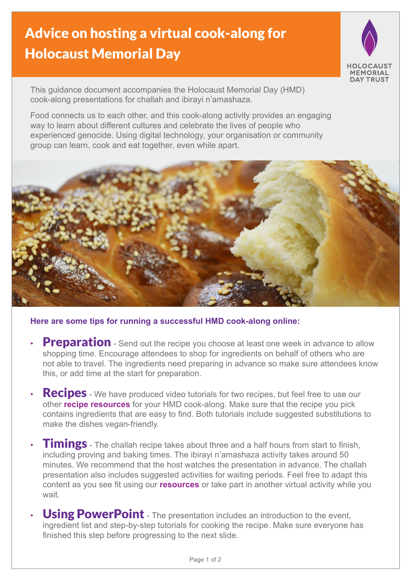## Advice on hosting a virtual cook-along for Holocaust Memorial Day



This guidance document accompanies the Holocaust Memorial Day (HMD) cook-along presentations for challah and ibirayi n'amashaza.

Food connects us to each other, and this cook-along activity provides an engaging way to learn about different cultures and celebrate the lives of people who experienced genocide. Using digital technology, your organisation or community group can learn, cook and eat together, even while apart.



**Here are some tips for running a successful HMD cook-along online:**

- **Preparation** Send out the recipe you choose at least one week in advance to allow shopping time. Encourage attendees to shop for ingredients on behalf of others who are not able to travel. The ingredients need preparing in advance so make sure attendees know this, or add time at the start for preparation.
- **Recipes** We have produced video tutorials for two recipes, but feel free to use our other **[recipe resources](https://www.hmd.org.uk/resources/?genocide=any&resource_type=40&age=any)** for your HMD cook-along. Make sure that the recipe you pick contains ingredients that are easy to find. Both tutorials include suggested substitutions to make the dishes vegan-friendly.
- **Timings** The challah recipe takes about three and a half hours from start to finish, including proving and baking times. The ibirayi n'amashaza activity takes around 50 minutes. We recommend that the host watches the presentation in advance. The challah presentation also includes suggested activities for waiting periods. Feel free to adapt this content as you see fit using our **[resources](https://www.hmd.org.uk/resources/)** or take part in another virtual activity while you wait.
- Using PowerPoint The presentation includes an introduction to the event, ingredient list and step-by-step tutorials for cooking the recipe. Make sure everyone has finished this step before progressing to the next slide.